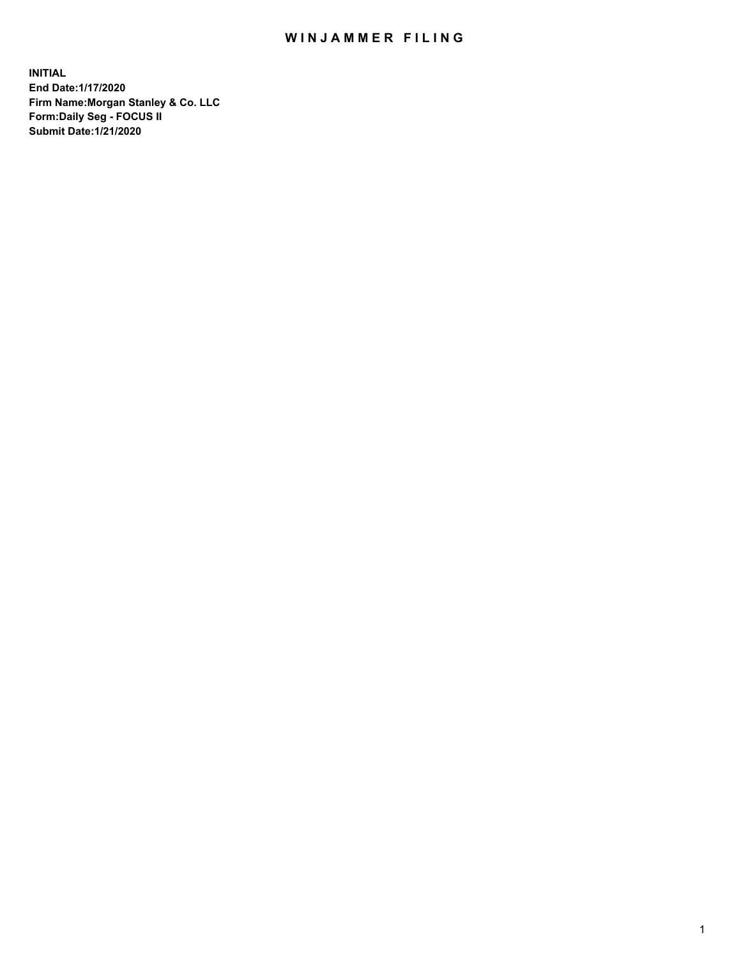## WIN JAMMER FILING

**INITIAL End Date:1/17/2020 Firm Name:Morgan Stanley & Co. LLC Form:Daily Seg - FOCUS II Submit Date:1/21/2020**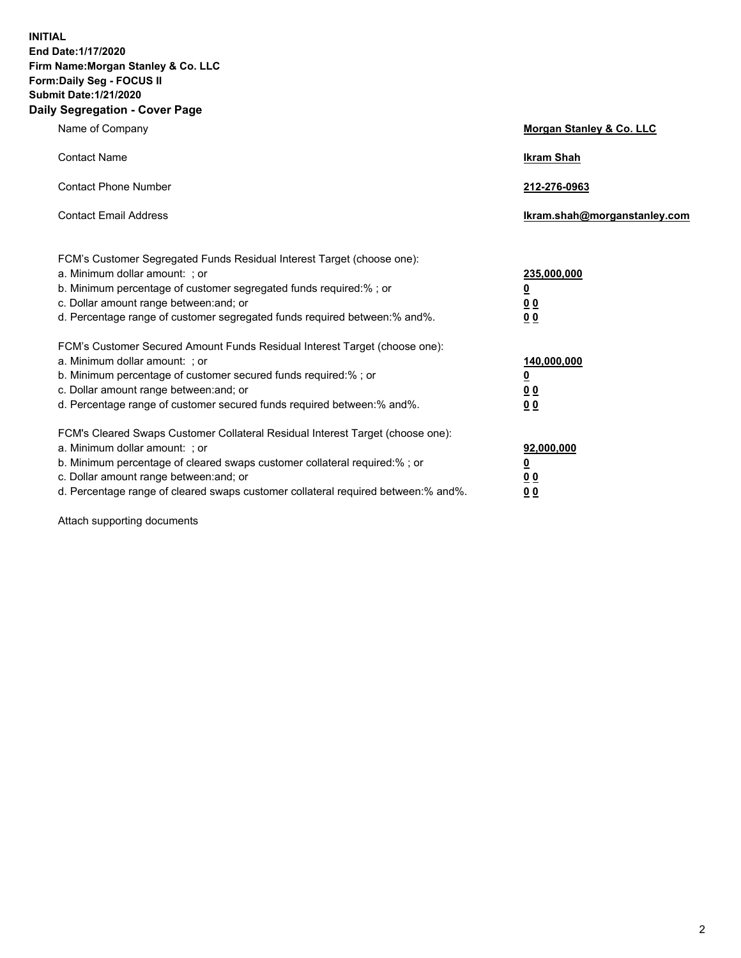**INITIAL End Date:1/17/2020 Firm Name:Morgan Stanley & Co. LLC Form:Daily Seg - FOCUS II Submit Date:1/21/2020 Daily Segregation - Cover Page**

| Name of Company                                                                   | Morgan Stanley & Co. LLC     |
|-----------------------------------------------------------------------------------|------------------------------|
| <b>Contact Name</b>                                                               | <b>Ikram Shah</b>            |
| <b>Contact Phone Number</b>                                                       | 212-276-0963                 |
| <b>Contact Email Address</b>                                                      | Ikram.shah@morganstanley.com |
| FCM's Customer Segregated Funds Residual Interest Target (choose one):            |                              |
| a. Minimum dollar amount: ; or                                                    | 235,000,000                  |
| b. Minimum percentage of customer segregated funds required:% ; or                | <u>0</u>                     |
| c. Dollar amount range between: and; or                                           | 0 <sub>0</sub>               |
| d. Percentage range of customer segregated funds required between: % and %.       | 0 <sub>0</sub>               |
| FCM's Customer Secured Amount Funds Residual Interest Target (choose one):        |                              |
| a. Minimum dollar amount: ; or                                                    | 140,000,000                  |
| b. Minimum percentage of customer secured funds required:%; or                    | <u>0</u>                     |
| c. Dollar amount range between: and; or                                           | 0 <sub>0</sub>               |
| d. Percentage range of customer secured funds required between:% and%.            | 0 <sub>0</sub>               |
| FCM's Cleared Swaps Customer Collateral Residual Interest Target (choose one):    |                              |
| a. Minimum dollar amount: ; or                                                    | 92,000,000                   |
| b. Minimum percentage of cleared swaps customer collateral required:% ; or        | <u>0</u>                     |
| c. Dollar amount range between: and; or                                           | <u>00</u>                    |
| d. Percentage range of cleared swaps customer collateral required between:% and%. | 00                           |

Attach supporting documents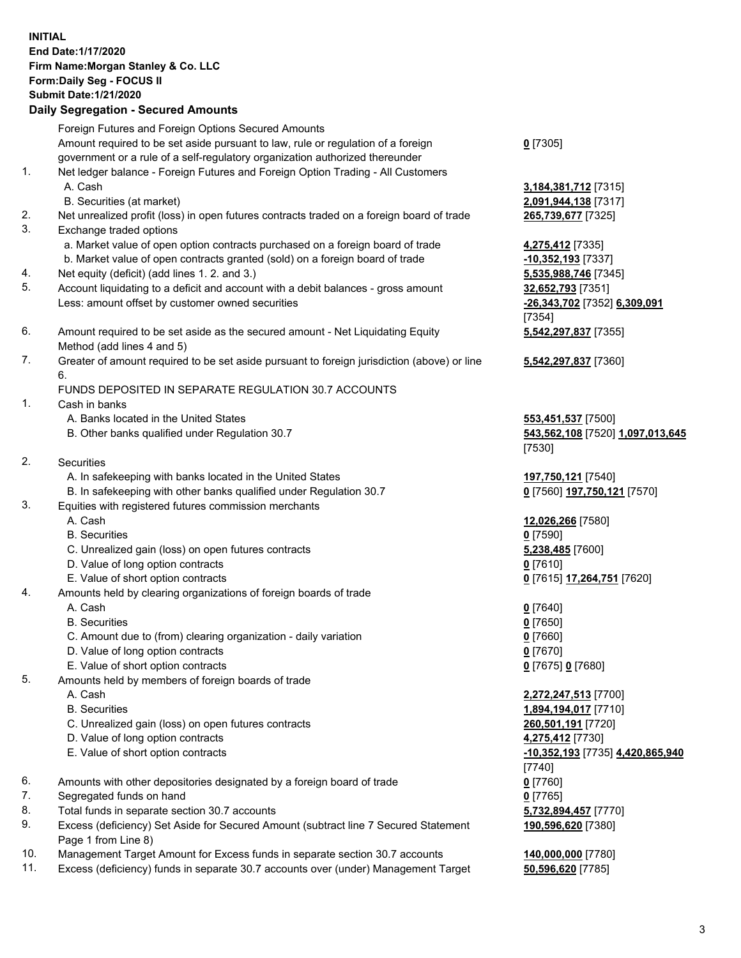## **INITIAL End Date:1/17/2020 Firm Name:Morgan Stanley & Co. LLC Form:Daily Seg - FOCUS II Submit Date:1/21/2020 Daily Segregation - Secured Amounts** Foreign Futures and Foreign Options Secured Amounts Amount required to be set aside pursuant to law, rule or regulation of a foreign government or a rule of a self-regulatory organization authorized thereunder **0** [7305] 1. Net ledger balance - Foreign Futures and Foreign Option Trading - All Customers A. Cash **3,184,381,712** [7315] B. Securities (at market) **2,091,944,138** [7317] 2. Net unrealized profit (loss) in open futures contracts traded on a foreign board of trade **265,739,677** [7325] 3. Exchange traded options a. Market value of open option contracts purchased on a foreign board of trade **4,275,412** [7335] b. Market value of open contracts granted (sold) on a foreign board of trade **-10,352,193** [7337] 4. Net equity (deficit) (add lines 1. 2. and 3.) **5,535,988,746** [7345] 5. Account liquidating to a deficit and account with a debit balances - gross amount **32,652,793** [7351] Less: amount offset by customer owned securities **-26,343,702** [7352] **6,309,091** [7354] 6. Amount required to be set aside as the secured amount - Net Liquidating Equity Method (add lines 4 and 5) **5,542,297,837** [7355] 7. Greater of amount required to be set aside pursuant to foreign jurisdiction (above) or line 6. **5,542,297,837** [7360] FUNDS DEPOSITED IN SEPARATE REGULATION 30.7 ACCOUNTS 1. Cash in banks A. Banks located in the United States **553,451,537** [7500] B. Other banks qualified under Regulation 30.7 **543,562,108** [7520] **1,097,013,645** [7530] 2. Securities A. In safekeeping with banks located in the United States **197,750,121** [7540] B. In safekeeping with other banks qualified under Regulation 30.7 **0** [7560] **197,750,121** [7570] 3. Equities with registered futures commission merchants A. Cash **12,026,266** [7580] B. Securities **0** [7590] C. Unrealized gain (loss) on open futures contracts **5,238,485** [7600] D. Value of long option contracts **0** [7610] E. Value of short option contracts **0** [7615] **17,264,751** [7620] 4. Amounts held by clearing organizations of foreign boards of trade A. Cash **0** [7640] B. Securities **0** [7650] C. Amount due to (from) clearing organization - daily variation **0** [7660] D. Value of long option contracts **0** [7670] E. Value of short option contracts **0** [7675] **0** [7680] 5. Amounts held by members of foreign boards of trade A. Cash **2,272,247,513** [7700] B. Securities **1,894,194,017** [7710] C. Unrealized gain (loss) on open futures contracts **260,501,191** [7720] D. Value of long option contracts **4,275,412** [7730] E. Value of short option contracts **-10,352,193** [7735] **4,420,865,940** [7740] 6. Amounts with other depositories designated by a foreign board of trade **0** [7760] 7. Segregated funds on hand **0** [7765] 8. Total funds in separate section 30.7 accounts **5,732,894,457** [7770] **190,596,620** [7380]

- 9. Excess (deficiency) Set Aside for Secured Amount (subtract line 7 Secured Statement Page 1 from Line 8)
- 10. Management Target Amount for Excess funds in separate section 30.7 accounts **140,000,000** [7780]
- 11. Excess (deficiency) funds in separate 30.7 accounts over (under) Management Target **50,596,620** [7785]

3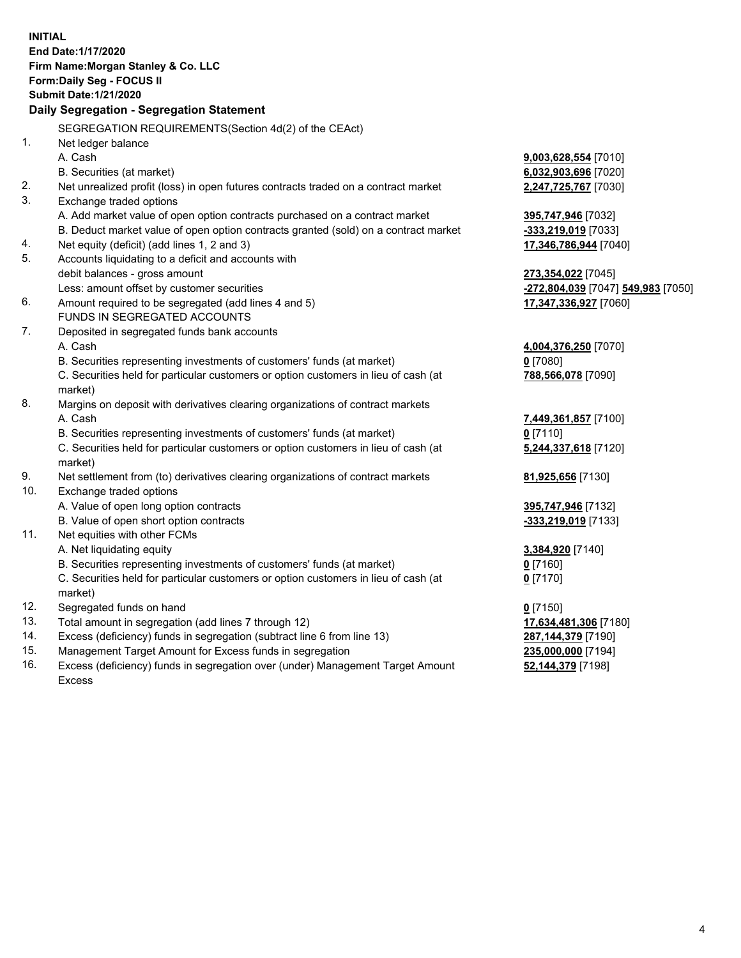|                | <b>INITIAL</b>                                                                                         |                                    |
|----------------|--------------------------------------------------------------------------------------------------------|------------------------------------|
|                | End Date: 1/17/2020                                                                                    |                                    |
|                | Firm Name: Morgan Stanley & Co. LLC                                                                    |                                    |
|                | Form: Daily Seg - FOCUS II                                                                             |                                    |
|                | <b>Submit Date: 1/21/2020</b>                                                                          |                                    |
|                | Daily Segregation - Segregation Statement                                                              |                                    |
|                | SEGREGATION REQUIREMENTS(Section 4d(2) of the CEAct)                                                   |                                    |
| 1 <sub>1</sub> | Net ledger balance                                                                                     |                                    |
|                | A. Cash                                                                                                | 9,003,628,554 [7010]               |
|                | B. Securities (at market)                                                                              | 6,032,903,696 [7020]               |
| 2.             |                                                                                                        |                                    |
| 3.             | Net unrealized profit (loss) in open futures contracts traded on a contract market                     | 2,247,725,767 [7030]               |
|                | Exchange traded options<br>A. Add market value of open option contracts purchased on a contract market |                                    |
|                | B. Deduct market value of open option contracts granted (sold) on a contract market                    | 395,747,946 [7032]                 |
|                | Net equity (deficit) (add lines 1, 2 and 3)                                                            | -333,219,019 [7033]                |
| 4.<br>5.       | Accounts liquidating to a deficit and accounts with                                                    | 17,346,786,944 [7040]              |
|                | debit balances - gross amount                                                                          | 273,354,022 [7045]                 |
|                | Less: amount offset by customer securities                                                             | -272,804,039 [7047] 549,983 [7050] |
| 6.             | Amount required to be segregated (add lines 4 and 5)                                                   | 17,347,336,927 [7060]              |
|                | FUNDS IN SEGREGATED ACCOUNTS                                                                           |                                    |
| 7.             | Deposited in segregated funds bank accounts                                                            |                                    |
|                | A. Cash                                                                                                | 4,004,376,250 [7070]               |
|                | B. Securities representing investments of customers' funds (at market)                                 | $0$ [7080]                         |
|                | C. Securities held for particular customers or option customers in lieu of cash (at                    | 788,566,078 [7090]                 |
|                | market)                                                                                                |                                    |
| 8.             | Margins on deposit with derivatives clearing organizations of contract markets                         |                                    |
|                | A. Cash                                                                                                | 7,449,361,857 [7100]               |
|                | B. Securities representing investments of customers' funds (at market)                                 | $0$ [7110]                         |
|                | C. Securities held for particular customers or option customers in lieu of cash (at                    | 5,244,337,618 [7120]               |
|                | market)                                                                                                |                                    |
| 9.             | Net settlement from (to) derivatives clearing organizations of contract markets                        | 81,925,656 [7130]                  |
| 10.            | Exchange traded options                                                                                |                                    |
|                | A. Value of open long option contracts                                                                 | 395,747,946 [7132]                 |
|                | B. Value of open short option contracts                                                                | -333,219,019 [7133]                |
| 11.            | Net equities with other FCMs                                                                           |                                    |
|                | A. Net liquidating equity                                                                              | 3,384,920 [7140]                   |
|                | B. Securities representing investments of customers' funds (at market)                                 | $0$ [7160]                         |
|                | C. Securities held for particular customers or option customers in lieu of cash (at                    | $0$ [7170]                         |
|                | market)                                                                                                |                                    |
| 12.            | Segregated funds on hand                                                                               | $0$ [7150]                         |
| 13.            | Total amount in segregation (add lines 7 through 12)                                                   | 17,634,481,306 [7180]              |
| 14.            | Excess (deficiency) funds in segregation (subtract line 6 from line 13)                                | 287,144,379 [7190]                 |
| 15.            | Management Target Amount for Excess funds in segregation                                               | 235,000,000 [7194]                 |
| 16.            | Excess (deficiency) funds in segregation over (under) Management Target Amount                         | 52,144,379 [7198]                  |

Excess